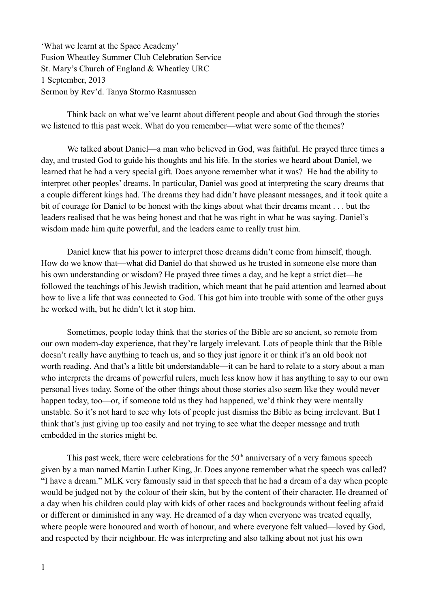'What we learnt at the Space Academy' Fusion Wheatley Summer Club Celebration Service St. Mary's Church of England & Wheatley URC 1 September, 2013 Sermon by Rev'd. Tanya Stormo Rasmussen

Think back on what we've learnt about different people and about God through the stories we listened to this past week. What do you remember—what were some of the themes?

We talked about Daniel—a man who believed in God, was faithful. He prayed three times a day, and trusted God to guide his thoughts and his life. In the stories we heard about Daniel, we learned that he had a very special gift. Does anyone remember what it was? He had the ability to interpret other peoples' dreams. In particular, Daniel was good at interpreting the scary dreams that a couple different kings had. The dreams they had didn't have pleasant messages, and it took quite a bit of courage for Daniel to be honest with the kings about what their dreams meant . . . but the leaders realised that he was being honest and that he was right in what he was saying. Daniel's wisdom made him quite powerful, and the leaders came to really trust him.

Daniel knew that his power to interpret those dreams didn't come from himself, though. How do we know that—what did Daniel do that showed us he trusted in someone else more than his own understanding or wisdom? He prayed three times a day, and he kept a strict diet—he followed the teachings of his Jewish tradition, which meant that he paid attention and learned about how to live a life that was connected to God. This got him into trouble with some of the other guys he worked with, but he didn't let it stop him.

Sometimes, people today think that the stories of the Bible are so ancient, so remote from our own modern-day experience, that they're largely irrelevant. Lots of people think that the Bible doesn't really have anything to teach us, and so they just ignore it or think it's an old book not worth reading. And that's a little bit understandable—it can be hard to relate to a story about a man who interprets the dreams of powerful rulers, much less know how it has anything to say to our own personal lives today. Some of the other things about those stories also seem like they would never happen today, too—or, if someone told us they had happened, we'd think they were mentally unstable. So it's not hard to see why lots of people just dismiss the Bible as being irrelevant. But I think that's just giving up too easily and not trying to see what the deeper message and truth embedded in the stories might be.

This past week, there were celebrations for the  $50<sup>th</sup>$  anniversary of a very famous speech given by a man named Martin Luther King, Jr. Does anyone remember what the speech was called? "I have a dream." MLK very famously said in that speech that he had a dream of a day when people would be judged not by the colour of their skin, but by the content of their character. He dreamed of a day when his children could play with kids of other races and backgrounds without feeling afraid or different or diminished in any way. He dreamed of a day when everyone was treated equally, where people were honoured and worth of honour, and where everyone felt valued—loved by God, and respected by their neighbour. He was interpreting and also talking about not just his own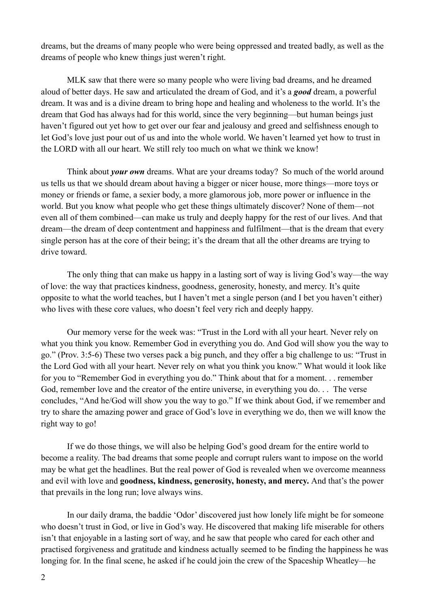dreams, but the dreams of many people who were being oppressed and treated badly, as well as the dreams of people who knew things just weren't right.

MLK saw that there were so many people who were living bad dreams, and he dreamed aloud of better days. He saw and articulated the dream of God, and it's a *good* dream, a powerful dream. It was and is a divine dream to bring hope and healing and wholeness to the world. It's the dream that God has always had for this world, since the very beginning—but human beings just haven't figured out yet how to get over our fear and jealousy and greed and selfishness enough to let God's love just pour out of us and into the whole world. We haven't learned yet how to trust in the LORD with all our heart. We still rely too much on what we think we know!

Think about *your own* dreams. What are your dreams today? So much of the world around us tells us that we should dream about having a bigger or nicer house, more things—more toys or money or friends or fame, a sexier body, a more glamorous job, more power or influence in the world. But you know what people who get these things ultimately discover? None of them—not even all of them combined—can make us truly and deeply happy for the rest of our lives. And that dream—the dream of deep contentment and happiness and fulfilment—that is the dream that every single person has at the core of their being; it's the dream that all the other dreams are trying to drive toward.

The only thing that can make us happy in a lasting sort of way is living God's way—the way of love: the way that practices kindness, goodness, generosity, honesty, and mercy. It's quite opposite to what the world teaches, but I haven't met a single person (and I bet you haven't either) who lives with these core values, who doesn't feel very rich and deeply happy.

Our memory verse for the week was: "Trust in the Lord with all your heart. Never rely on what you think you know. Remember God in everything you do. And God will show you the way to go." (Prov. 3:5-6) These two verses pack a big punch, and they offer a big challenge to us: "Trust in the Lord God with all your heart. Never rely on what you think you know." What would it look like for you to "Remember God in everything you do." Think about that for a moment. . . remember God, remember love and the creator of the entire universe, in everything you do. . . The verse concludes, "And he/God will show you the way to go." If we think about God, if we remember and try to share the amazing power and grace of God's love in everything we do, then we will know the right way to go!

If we do those things, we will also be helping God's good dream for the entire world to become a reality. The bad dreams that some people and corrupt rulers want to impose on the world may be what get the headlines. But the real power of God is revealed when we overcome meanness and evil with love and **goodness, kindness, generosity, honesty, and mercy.** And that's the power that prevails in the long run; love always wins.

In our daily drama, the baddie 'Odor' discovered just how lonely life might be for someone who doesn't trust in God, or live in God's way. He discovered that making life miserable for others isn't that enjoyable in a lasting sort of way, and he saw that people who cared for each other and practised forgiveness and gratitude and kindness actually seemed to be finding the happiness he was longing for. In the final scene, he asked if he could join the crew of the Spaceship Wheatley—he